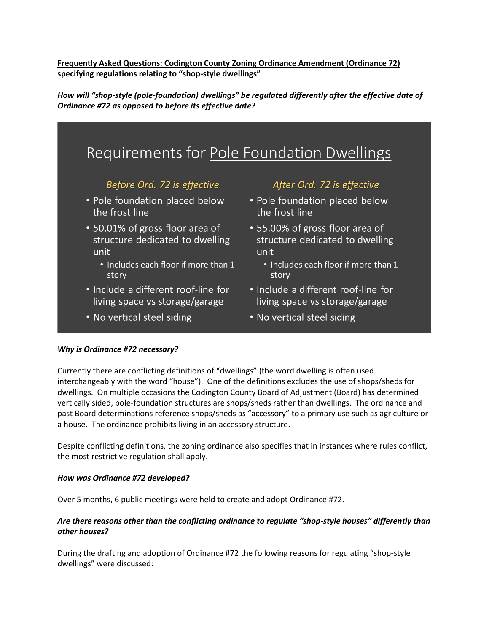**Frequently Asked Questions: Codington County Zoning Ordinance Amendment (Ordinance 72) specifying regulations relating to "shop-style dwellings"**

*How will "shop-style (pole-foundation) dwellings" be regulated differently after the effective date of Ordinance #72 as opposed to before its effective date?*



### *Why is Ordinance #72 necessary?*

Currently there are conflicting definitions of "dwellings" (the word dwelling is often used interchangeably with the word "house"). One of the definitions excludes the use of shops/sheds for dwellings. On multiple occasions the Codington County Board of Adjustment (Board) has determined vertically sided, pole-foundation structures are shops/sheds rather than dwellings. The ordinance and past Board determinations reference shops/sheds as "accessory" to a primary use such as agriculture or a house. The ordinance prohibits living in an accessory structure.

Despite conflicting definitions, the zoning ordinance also specifies that in instances where rules conflict, the most restrictive regulation shall apply.

#### *How was Ordinance #72 developed?*

Over 5 months, 6 public meetings were held to create and adopt Ordinance #72.

## *Are there reasons other than the conflicting ordinance to regulate "shop-style houses" differently than other houses?*

During the drafting and adoption of Ordinance #72 the following reasons for regulating "shop-style dwellings" were discussed: